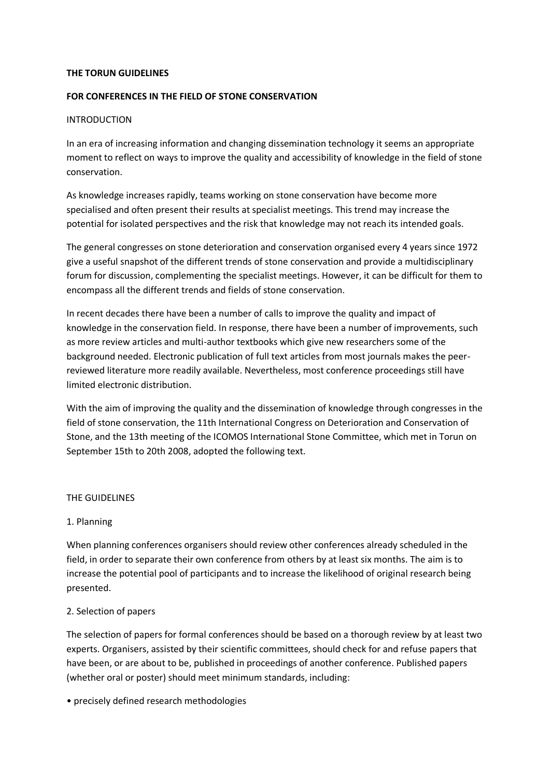#### **THE TORUN GUIDELINES**

## **FOR CONFERENCES IN THE FIELD OF STONE CONSERVATION**

### INTRODUCTION

In an era of increasing information and changing dissemination technology it seems an appropriate moment to reflect on ways to improve the quality and accessibility of knowledge in the field of stone conservation.

As knowledge increases rapidly, teams working on stone conservation have become more specialised and often present their results at specialist meetings. This trend may increase the potential for isolated perspectives and the risk that knowledge may not reach its intended goals.

The general congresses on stone deterioration and conservation organised every 4 years since 1972 give a useful snapshot of the different trends of stone conservation and provide a multidisciplinary forum for discussion, complementing the specialist meetings. However, it can be difficult for them to encompass all the different trends and fields of stone conservation.

In recent decades there have been a number of calls to improve the quality and impact of knowledge in the conservation field. In response, there have been a number of improvements, such as more review articles and multi-author textbooks which give new researchers some of the background needed. Electronic publication of full text articles from most journals makes the peerreviewed literature more readily available. Nevertheless, most conference proceedings still have limited electronic distribution.

With the aim of improving the quality and the dissemination of knowledge through congresses in the field of stone conservation, the 11th International Congress on Deterioration and Conservation of Stone, and the 13th meeting of the ICOMOS International Stone Committee, which met in Torun on September 15th to 20th 2008, adopted the following text.

### THE GUIDELINES

### 1. Planning

When planning conferences organisers should review other conferences already scheduled in the field, in order to separate their own conference from others by at least six months. The aim is to increase the potential pool of participants and to increase the likelihood of original research being presented.

# 2. Selection of papers

The selection of papers for formal conferences should be based on a thorough review by at least two experts. Organisers, assisted by their scientific committees, should check for and refuse papers that have been, or are about to be, published in proceedings of another conference. Published papers (whether oral or poster) should meet minimum standards, including:

• precisely defined research methodologies